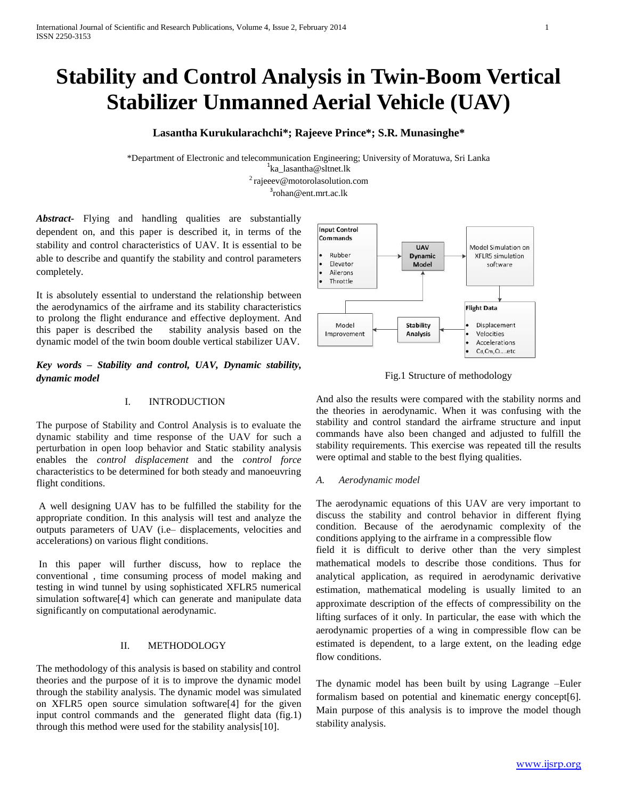# **Stability and Control Analysis in Twin-Boom Vertical Stabilizer Unmanned Aerial Vehicle (UAV)**

# **Lasantha Kurukularachchi\*; Rajeeve Prince\*; S.R. Munasinghe\***

\*Department of Electronic and telecommunication Engineering; University of Moratuwa, Sri Lanka 1 [ka\\_lasantha@sltnet.lk](mailto:ka_lasantha@sltnet.lk2%20rajeeev) <sup>2</sup> raieeev@motorolasolution.com

<sup>3</sup>[rohan@ent.mrt.ac.lk](mailto:rohan@ent.mrt.ac.lk)

*Abstract-* Flying and handling qualities are substantially dependent on, and this paper is described it, in terms of the stability and control characteristics of UAV. It is essential to be able to describe and quantify the stability and control parameters completely.

It is absolutely essential to understand the relationship between the aerodynamics of the airframe and its stability characteristics to prolong the flight endurance and effective deployment. And this paper is described the stability analysis based on the dynamic model of the twin boom double vertical stabilizer UAV.

*Key words – Stability and control, UAV, Dynamic stability, dynamic model*

## I. INTRODUCTION

The purpose of Stability and Control Analysis is to evaluate the dynamic stability and time response of the UAV for such a perturbation in open loop behavior and Static stability analysis enables the *control displacement* and the *control force*  characteristics to be determined for both steady and manoeuvring flight conditions.

A well designing UAV has to be fulfilled the stability for the appropriate condition. In this analysis will test and analyze the outputs parameters of UAV (i.e– displacements, velocities and accelerations) on various flight conditions.

In this paper will further discuss, how to replace the conventional , time consuming process of model making and testing in wind tunnel by using sophisticated XFLR5 numerical simulation software[4] which can generate and manipulate data significantly on computational aerodynamic.

## II. METHODOLOGY

The methodology of this analysis is based on stability and control theories and the purpose of it is to improve the dynamic model through the stability analysis. The dynamic model was simulated on XFLR5 open source simulation software[4] for the given input control commands and the generated flight data (fig.1) through this method were used for the stability analysis[10].



Fig.1 Structure of methodology

And also the results were compared with the stability norms and the theories in aerodynamic. When it was confusing with the stability and control standard the airframe structure and input commands have also been changed and adjusted to fulfill the stability requirements. This exercise was repeated till the results were optimal and stable to the best flying qualities.

### *A. Aerodynamic model*

The aerodynamic equations of this UAV are very important to discuss the stability and control behavior in different flying condition. Because of the aerodynamic complexity of the conditions applying to the airframe in a compressible flow

field it is difficult to derive other than the very simplest mathematical models to describe those conditions. Thus for analytical application, as required in aerodynamic derivative estimation, mathematical modeling is usually limited to an approximate description of the effects of compressibility on the lifting surfaces of it only. In particular, the ease with which the aerodynamic properties of a wing in compressible flow can be estimated is dependent, to a large extent, on the leading edge flow conditions.

The dynamic model has been built by using Lagrange –Euler formalism based on potential and kinematic energy concept[6]. Main purpose of this analysis is to improve the model though stability analysis.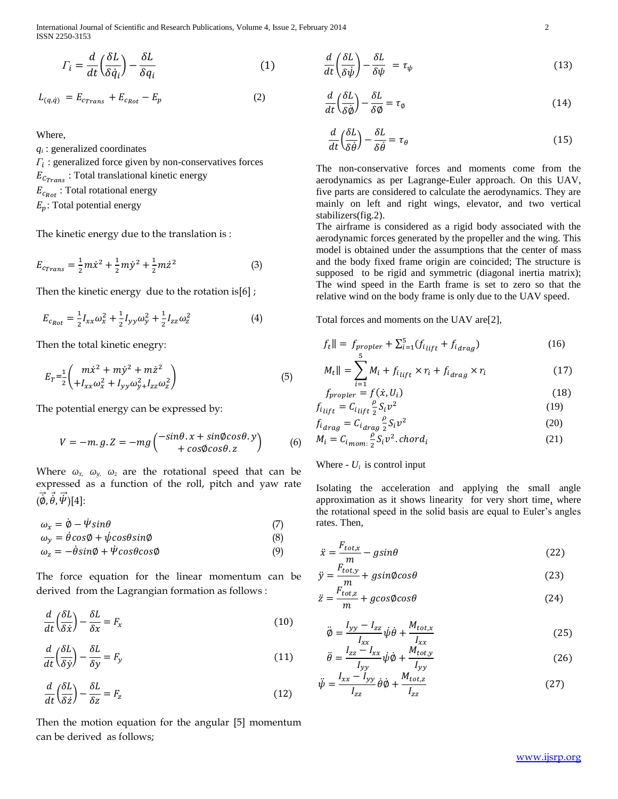International Journal of Scientific and Research Publications, Volume 4, Issue 2, February 2014 2 ISSN 2250-3153

$$
\Gamma_i = \frac{d}{dt} \left( \frac{\delta L}{\delta \dot{q}_i} \right) - \frac{\delta L}{\delta q_i} \tag{1}
$$

$$
L_{(q,\dot{q})} = E_{c_{Trans}} + E_{c_{Rot}} - E_p \tag{2}
$$

Where,

*qi* : generalized coordinates  $\Gamma_i$ : generalized force given by non-conservatives forces  $E_{C_{Trans}}$ : Total translational kinetic energy  $E_{c_{Rot}}$ : Total rotational energy  $E_p$ : Total potential energy

The kinetic energy due to the translation is :

$$
E_{c_{Trans}} = \frac{1}{2}m\dot{x}^2 + \frac{1}{2}m\dot{y}^2 + \frac{1}{2}m\dot{z}^2
$$
 (3)

Then the kinetic energy due to the rotation is[6]  $;$ 

$$
E_{c_{Rot}} = \frac{1}{2} I_{xx} \omega_x^2 + \frac{1}{2} I_{yy} \omega_y^2 + \frac{1}{2} I_{zz} \omega_z^2
$$
 (4)

Then the total kinetic enegry:

$$
E_T = \frac{1}{2} \left( \frac{m \dot{x}^2 + m \dot{y}^2 + m \dot{z}^2}{+ I_{xx} \omega_x^2 + I_{yy} \omega_{y}^2 + I_{zz} \omega_z^2} \right)
$$
(5)

The potential energy can be expressed by:

$$
V = -m. g.Z = -mg \left( \frac{-\sin\theta . x + \sin\phi \cos\theta . y}{+ \cos\phi \cos\theta . z} \right) \tag{6}
$$

Where *ωx, ωy, ωz* are the rotational speed that can be expressed as a function of the roll, pitch and yaw rate  $(\vec{\phi}, \vec{\theta}, \vec{\psi})[4]$ :

 $\omega_x = \dot{\phi} - \dot{\psi} \sin \theta$  (7)

$$
\omega_y = \dot{\theta}\cos\phi + \dot{\psi}\cos\theta\sin\phi \tag{8}
$$

$$
\omega_z = -\dot{\theta}\sin\phi + \dot{\Psi}\cos\theta\cos\phi \tag{9}
$$

The force equation for the linear momentum can be derived from the Lagrangian formation as follows :

$$
\frac{d}{dt}\left(\frac{\delta L}{\delta \dot{x}}\right) - \frac{\delta L}{\delta x} = F_x \tag{10}
$$

$$
\frac{d}{dt}\left(\frac{\delta L}{\delta \dot{y}}\right) - \frac{\delta L}{\delta y} = F_y \tag{11}
$$

$$
\frac{d}{dt}\left(\frac{\delta L}{\delta \dot{z}}\right) - \frac{\delta L}{\delta z} = F_z \tag{12}
$$

Then the motion equation for the angular [5] momentum can be derived as follows;

$$
\frac{d}{dt}\left(\frac{\delta L}{\delta \dot{\psi}}\right) - \frac{\delta L}{\delta \psi} = \tau_{\psi} \tag{13}
$$

 $\mathbb{R}^n$  and  $\mathbb{R}^n$ 

$$
\frac{d}{dt}\left(\frac{\delta L}{\delta \dot{\phi}}\right) - \frac{\delta L}{\delta \phi} = \tau_{\phi} \tag{14}
$$

$$
\frac{d}{dt}\left(\frac{\delta L}{\delta \dot{\theta}}\right) - \frac{\delta L}{\delta \dot{\theta}} = \tau_{\theta} \tag{15}
$$

The non-conservative forces and moments come from the aerodynamics as per Lagrange-Euler approach. On this UAV, five parts are considered to calculate the aerodynamics. They are mainly on left and right wings, elevator, and two vertical stabilizers(fig.2).

The airframe is considered as a rigid body associated with the aerodynamic forces generated by the propeller and the wing. This model is obtained under the assumptions that the center of mass and the body fixed frame origin are coincided; The structure is supposed to be rigid and symmetric (diagonal inertia matrix); The wind speed in the Earth frame is set to zero so that the relative wind on the body frame is only due to the UAV speed.

Total forces and moments on the UAV are[2],

$$
f_t \parallel = f_{proper} + \sum_{i=1}^{5} (f_{i_{lift}} + f_{i_{drag}}) \tag{16}
$$

$$
M_t \parallel = \sum_{i=1}^{N_t} M_i + f_{i_{lift}} \times r_i + f_{i_{drag}} \times r_i \tag{17}
$$

$$
f_{proper} = f(\dot{x}, U_i) \tag{18}
$$

$$
f_{i_{\text{lift}}} = C_{i_{\text{lift}}} \frac{\rho}{2} S_i v^2
$$
 (19)

$$
f_{i_{drag}} = C_{i_{drag}} \frac{\rho}{2} S_i v^2
$$
\n
$$
M = C_i \frac{\rho}{2} S_i v^2 \text{ chord.}
$$
\n(20)

$$
M_i = C_{i \text{mom.}} \frac{\mu}{2} S_i v^2 \cdot \text{chord}_i \tag{21}
$$

## Where -  $U_i$  is control input

Isolating the acceleration and applying the small angle approximation as it shows linearity for very short time, where the rotational speed in the solid basis are equal to Euler's angles rates. Then,

$$
\ddot{x} = \frac{F_{tot,x}}{m} - g\sin\theta\tag{22}
$$

$$
\ddot{y} = \frac{F_{tot,y}}{m} + g\sin\phi\cos\theta\tag{23}
$$

$$
\ddot{z} = \frac{F_{tot,z}}{m} + g\cos\phi\cos\theta\tag{24}
$$

$$
\ddot{\phi} = \frac{I_{yy} - I_{zz}}{I_{xx}} \dot{\psi} \dot{\theta} + \frac{M_{tot,x}}{I_{xx}} \tag{25}
$$

$$
\ddot{\theta} = \frac{I_{zz} - I_{xx}}{I_{yy}} \dot{\psi} \dot{\phi} + \frac{M_{tot,y}}{I_{yy}}
$$
(26)

$$
\ddot{\psi} = \frac{I_{xx} - I_{yy}}{I_{zz}} \dot{\theta} \dot{\phi} + \frac{M_{tot,z}}{I_{zz}} \tag{27}
$$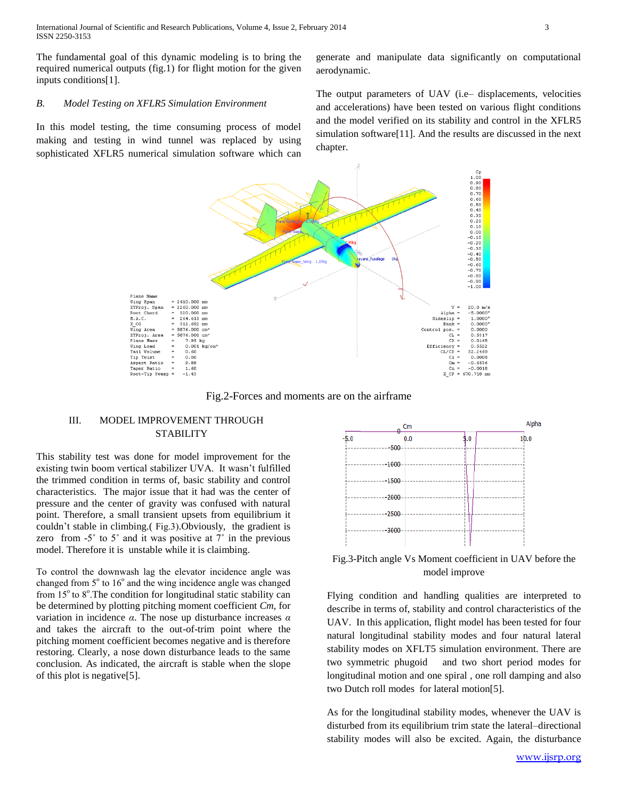The fundamental goal of this dynamic modeling is to bring the required numerical outputs (fig.1) for flight motion for the given inputs conditions[1].

#### *B. Model Testing on XFLR5 Simulation Environment*

In this model testing, the time consuming process of model making and testing in wind tunnel was replaced by using sophisticated XFLR5 numerical simulation software which can

generate and manipulate data significantly on computational aerodynamic.

The output parameters of UAV (i.e– displacements, velocities and accelerations) have been tested on various flight conditions and the model verified on its stability and control in the XFLR5 simulation software[11]. And the results are discussed in the next chapter.



Fig.2-Forces and moments are on the airframe

## III. MODEL IMPROVEMENT THROUGH **STABILITY**

This stability test was done for model improvement for the existing twin boom vertical stabilizer UVA. It wasn't fulfilled the trimmed condition in terms of, basic stability and control characteristics. The major issue that it had was the center of pressure and the center of gravity was confused with natural point. Therefore, a small transient upsets from equilibrium it couldn't stable in climbing.( Fig.3).Obviously, the gradient is zero from  $-5^\circ$  to  $5^\circ$  and it was positive at  $7^\circ$  in the previous model. Therefore it is unstable while it is claimbing.

To control the downwash lag the elevator incidence angle was changed from  $5^\circ$  to  $16^\circ$  and the wing incidence angle was changed from  $15^{\circ}$  to  $8^{\circ}$ . The condition for longitudinal static stability can be determined by plotting pitching moment coefficient *Cm*, for variation in incidence *α*. The nose up disturbance increases *α*  and takes the aircraft to the out-of-trim point where the pitching moment coefficient becomes negative and is therefore restoring. Clearly, a nose down disturbance leads to the same conclusion. As indicated, the aircraft is stable when the slope of this plot is negative[5].



Fig.3-Pitch angle Vs Moment coefficient in UAV before the model improve

Flying condition and handling qualities are interpreted to describe in terms of, stability and control characteristics of the UAV. In this application, flight model has been tested for four natural longitudinal stability modes and four natural lateral stability modes on XFLT5 simulation environment. There are two symmetric phugoid and two short period modes for longitudinal motion and one spiral , one roll damping and also two Dutch roll modes for lateral motion[5].

As for the longitudinal stability modes, whenever the UAV is disturbed from its equilibrium trim state the lateral–directional stability modes will also be excited. Again, the disturbance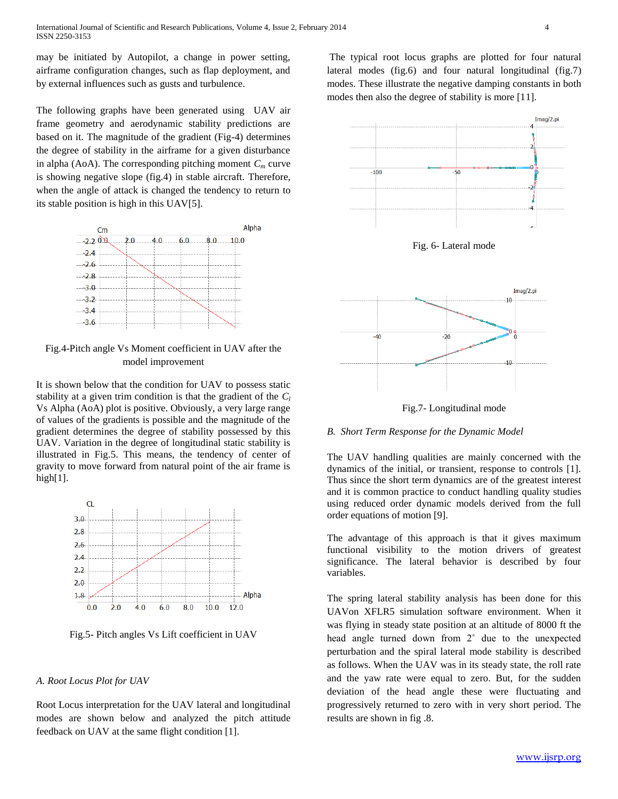may be initiated by Autopilot, a change in power setting, airframe configuration changes, such as flap deployment, and by external influences such as gusts and turbulence.

The following graphs have been generated using UAV air frame geometry and aerodynamic stability predictions are based on it. The magnitude of the gradient (Fig-4) determines the degree of stability in the airframe for a given disturbance in alpha (AoA). The corresponding pitching moment  $C_m$  curve is showing negative slope (fig.4) in stable aircraft. Therefore, when the angle of attack is changed the tendency to return to its stable position is high in this UAV[5].



Fig.4-Pitch angle Vs Moment coefficient in UAV after the model improvement

It is shown below that the condition for UAV to possess static stability at a given trim condition is that the gradient of the *C<sup>l</sup>* Vs Alpha (AoA) plot is positive. Obviously, a very large range of values of the gradients is possible and the magnitude of the gradient determines the degree of stability possessed by this UAV. Variation in the degree of longitudinal static stability is illustrated in Fig.5. This means, the tendency of center of gravity to move forward from natural point of the air frame is high[1].



Fig.5- Pitch angles Vs Lift coefficient in UAV

### *A. Root Locus Plot for UAV*

Root Locus interpretation for the UAV lateral and longitudinal modes are shown below and analyzed the pitch attitude feedback on UAV at the same flight condition [1].

The typical root locus graphs are plotted for four natural lateral modes (fig.6) and four natural longitudinal (fig.7) modes. These illustrate the negative damping constants in both modes then also the degree of stability is more [11].



Fig. 6- Lateral mode



Fig.7- Longitudinal mode

### *B. Short Term Response for the Dynamic Model*

The UAV handling qualities are mainly concerned with the dynamics of the initial, or transient, response to controls [1]. Thus since the short term dynamics are of the greatest interest and it is common practice to conduct handling quality studies using reduced order dynamic models derived from the full order equations of motion [9].

The advantage of this approach is that it gives maximum functional visibility to the motion drivers of greatest significance. The lateral behavior is described by four variables.

The spring lateral stability analysis has been done for this UAVon XFLR5 simulation software environment. When it was flying in steady state position at an altitude of 8000 ft the head angle turned down from 2˚ due to the unexpected perturbation and the spiral lateral mode stability is described as follows. When the UAV was in its steady state, the roll rate and the yaw rate were equal to zero. But, for the sudden deviation of the head angle these were fluctuating and progressively returned to zero with in very short period. The results are shown in fig .8.